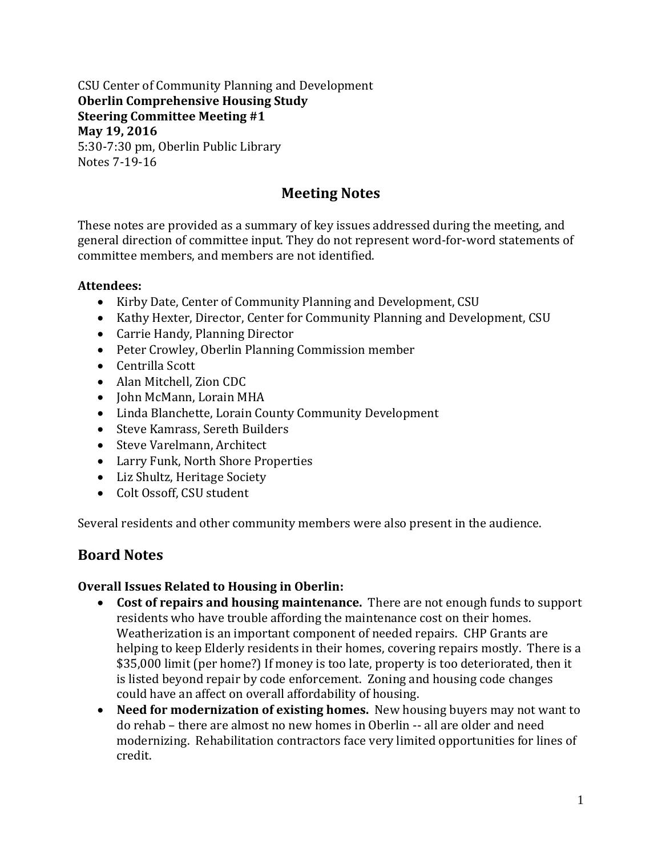CSU Center of Community Planning and Development **Oberlin Comprehensive Housing Study Steering Committee Meeting #1 May 19, 2016** 5:30-7:30 pm, Oberlin Public Library Notes 7-19-16

# **Meeting Notes**

These notes are provided as a summary of key issues addressed during the meeting, and general direction of committee input. They do not represent word-for-word statements of committee members, and members are not identified.

### **Attendees:**

- Kirby Date, Center of Community Planning and Development, CSU
- Kathy Hexter, Director, Center for Community Planning and Development, CSU
- Carrie Handy, Planning Director
- Peter Crowley, Oberlin Planning Commission member
- Centrilla Scott
- Alan Mitchell, Zion CDC
- John McMann, Lorain MHA
- Linda Blanchette, Lorain County Community Development
- Steve Kamrass, Sereth Builders
- Steve Varelmann, Architect
- Larry Funk, North Shore Properties
- Liz Shultz, Heritage Society
- Colt Ossoff, CSU student

Several residents and other community members were also present in the audience.

## **Board Notes**

### **Overall Issues Related to Housing in Oberlin:**

- **Cost of repairs and housing maintenance.** There are not enough funds to support residents who have trouble affording the maintenance cost on their homes. Weatherization is an important component of needed repairs. CHP Grants are helping to keep Elderly residents in their homes, covering repairs mostly. There is a \$35,000 limit (per home?) If money is too late, property is too deteriorated, then it is listed beyond repair by code enforcement. Zoning and housing code changes could have an affect on overall affordability of housing.
- **Need for modernization of existing homes.** New housing buyers may not want to do rehab – there are almost no new homes in Oberlin -- all are older and need modernizing. Rehabilitation contractors face very limited opportunities for lines of credit.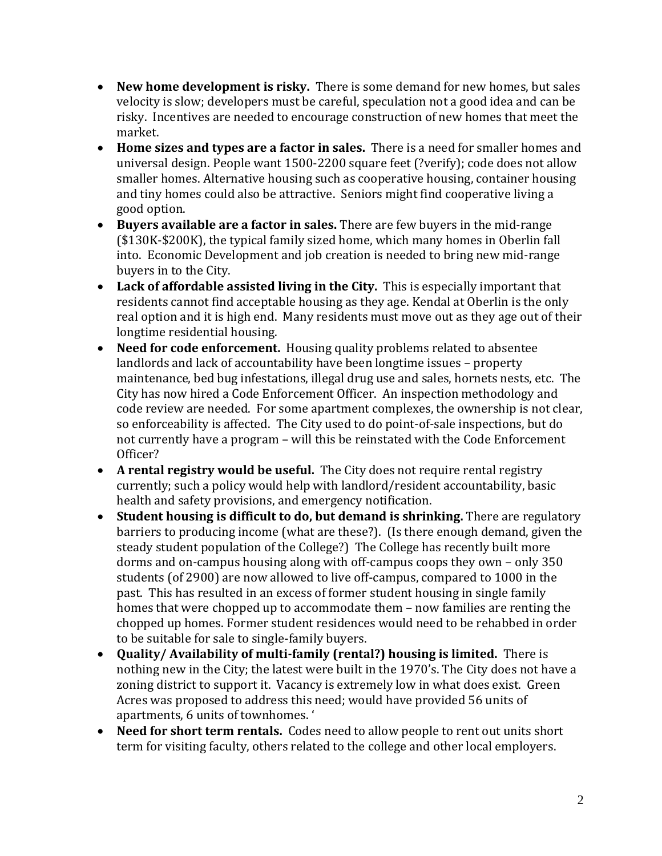- **New home development is risky.** There is some demand for new homes, but sales velocity is slow; developers must be careful, speculation not a good idea and can be risky. Incentives are needed to encourage construction of new homes that meet the market.
- **Home sizes and types are a factor in sales.** There is a need for smaller homes and universal design. People want 1500-2200 square feet (?verify); code does not allow smaller homes. Alternative housing such as cooperative housing, container housing and tiny homes could also be attractive. Seniors might find cooperative living a good option.
- **Buyers available are a factor in sales.** There are few buyers in the mid-range (\$130K-\$200K), the typical family sized home, which many homes in Oberlin fall into. Economic Development and job creation is needed to bring new mid-range buyers in to the City.
- **Lack of affordable assisted living in the City.** This is especially important that residents cannot find acceptable housing as they age. Kendal at Oberlin is the only real option and it is high end. Many residents must move out as they age out of their longtime residential housing.
- **Need for code enforcement.** Housing quality problems related to absentee landlords and lack of accountability have been longtime issues – property maintenance, bed bug infestations, illegal drug use and sales, hornets nests, etc. The City has now hired a Code Enforcement Officer. An inspection methodology and code review are needed. For some apartment complexes, the ownership is not clear, so enforceability is affected. The City used to do point-of-sale inspections, but do not currently have a program – will this be reinstated with the Code Enforcement Officer?
- **A rental registry would be useful.** The City does not require rental registry currently; such a policy would help with landlord/resident accountability, basic health and safety provisions, and emergency notification.
- **Student housing is difficult to do, but demand is shrinking.** There are regulatory barriers to producing income (what are these?). (Is there enough demand, given the steady student population of the College?) The College has recently built more dorms and on-campus housing along with off-campus coops they own – only 350 students (of 2900) are now allowed to live off-campus, compared to 1000 in the past. This has resulted in an excess of former student housing in single family homes that were chopped up to accommodate them – now families are renting the chopped up homes. Former student residences would need to be rehabbed in order to be suitable for sale to single-family buyers.
- **Quality/ Availability of multi-family (rental?) housing is limited.** There is nothing new in the City; the latest were built in the 1970's. The City does not have a zoning district to support it. Vacancy is extremely low in what does exist. Green Acres was proposed to address this need; would have provided 56 units of apartments, 6 units of townhomes. '
- **Need for short term rentals.** Codes need to allow people to rent out units short term for visiting faculty, others related to the college and other local employers.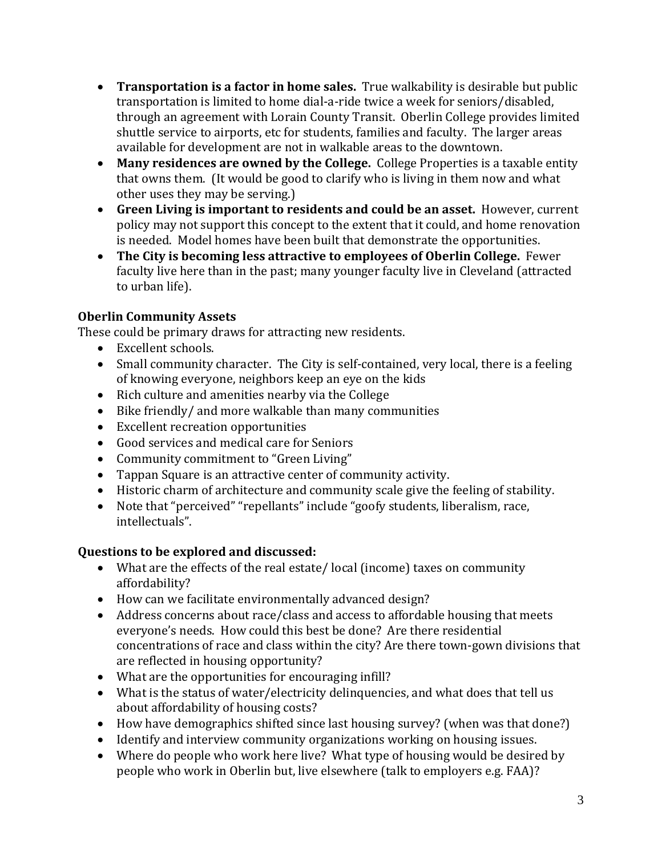- **Transportation is a factor in home sales.** True walkability is desirable but public transportation is limited to home dial-a-ride twice a week for seniors/disabled, through an agreement with Lorain County Transit. Oberlin College provides limited shuttle service to airports, etc for students, families and faculty. The larger areas available for development are not in walkable areas to the downtown.
- **Many residences are owned by the College.** College Properties is a taxable entity that owns them. (It would be good to clarify who is living in them now and what other uses they may be serving.)
- **Green Living is important to residents and could be an asset.** However, current policy may not support this concept to the extent that it could, and home renovation is needed. Model homes have been built that demonstrate the opportunities.
- **The City is becoming less attractive to employees of Oberlin College.** Fewer faculty live here than in the past; many younger faculty live in Cleveland (attracted to urban life).

## **Oberlin Community Assets**

These could be primary draws for attracting new residents.

- Excellent schools.
- Small community character. The City is self-contained, very local, there is a feeling of knowing everyone, neighbors keep an eye on the kids
- Rich culture and amenities nearby via the College
- Bike friendly/ and more walkable than many communities
- Excellent recreation opportunities
- Good services and medical care for Seniors
- Community commitment to "Green Living"
- Tappan Square is an attractive center of community activity.
- Historic charm of architecture and community scale give the feeling of stability.
- Note that "perceived" "repellants" include "goofy students, liberalism, race, intellectuals".

## **Questions to be explored and discussed:**

- What are the effects of the real estate/ local (income) taxes on community affordability?
- How can we facilitate environmentally advanced design?
- Address concerns about race/class and access to affordable housing that meets everyone's needs. How could this best be done? Are there residential concentrations of race and class within the city? Are there town-gown divisions that are reflected in housing opportunity?
- What are the opportunities for encouraging infill?
- What is the status of water/electricity delinquencies, and what does that tell us about affordability of housing costs?
- How have demographics shifted since last housing survey? (when was that done?)
- Identify and interview community organizations working on housing issues.
- Where do people who work here live? What type of housing would be desired by people who work in Oberlin but, live elsewhere (talk to employers e.g. FAA)?